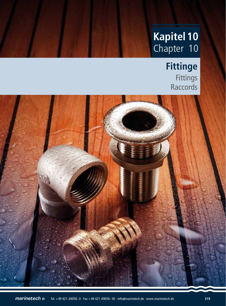# **Kapitel 10** Chapter 10

**Outils de réparations et de maintenance 9**

# **Fittinge** Fittings Raccords

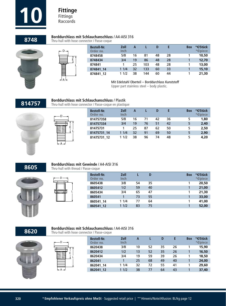

### **8748 Borddurchlass mit Schlauchanschluss** / A4-AISI 316<br>**8748** Thru-hull with hose connector / Passe-coque

Thru-hull with hose connector / Passe-coque





| <b>Bestell-Nr.</b><br>Order no. | Zoll<br>Inch | А  |     |    |    | <b>Box</b> | *€/Stück<br>*€/piece |
|---------------------------------|--------------|----|-----|----|----|------------|----------------------|
| 8748458                         | 5/8          | 16 | 81  | 48 | 28 |            | 10,50                |
| 8748434                         | 3/4          | 19 | 86  | 48 | 28 |            | 12,70                |
| 874841                          |              | 25 | 103 | 48 | 28 |            | 13,00                |
| 874841 14                       | 11/4         | 32 | 133 | 60 | 33 |            | 15,10                |
| 874841 12                       | 1/2          | 38 | 144 | 60 | 44 |            | 21,30                |

Mit Edelstahl Oberteil – Borddurchlass Kunststoff

Upper part stainless steel – body plastic.

## **814757 Borddurchlass mit Schlauchanschluss** / Plastik<br> **814757** Thru-hull with hose connector / Passe-coque en plastique



| D |   |
|---|---|
|   | Ė |
|   |   |

| <b>Bestell-Nr.</b><br>Order no. | Zoll<br>Inch | А  |    |    |    | <b>Box</b> | *€/Stück<br>*€/piece |
|---------------------------------|--------------|----|----|----|----|------------|----------------------|
| 814757358                       | 5/8          | 16 | 71 | 42 | 36 |            | 1,80                 |
| 814757334                       | 3/4          | 19 | 76 | 51 | 42 | 5          | 2,40                 |
| 81475731                        |              | 25 | 87 | 62 | 50 | 5          | 2,50                 |
| 81475731 14                     | 11/4         | 32 | 91 | 69 | 50 | 5          | 2,90                 |
| 81475731 12                     | 11/2         | 38 | 96 | 74 | 48 | 5          | 4,20                 |

**8605**



#### **Borddurchlass mit Gewinde** / A4-AISI 316 Thru-hull with thread / Passe-coque

L

D

| <b>Bestell-Nr.</b><br>Order no. | Zoll<br><b>Inch</b> |    | D  | <b>Box</b> | *€/Stück<br>*€/piece |
|---------------------------------|---------------------|----|----|------------|----------------------|
| 8605438                         | 3/8                 | 54 | 35 |            | 20,50                |
| 8605412                         | 1/2                 | 59 | 40 |            | 21,00                |
| 8605434                         | 3/4                 | 65 | 47 |            | 21,30                |
| 860541                          |                     | 73 | 55 |            | 33,00                |
| 860541_14                       | 11/4                | 77 | 64 |            | 41.00                |
| 860541 12                       | 11/2                | 83 | 75 |            | 52,00                |

**8620**

### **Borddurchlass mit Schlauchanschluss** / A4-AISI 316

Thru-hull with hose connector / Passe-coque

| a di<br>٠                                                          | ٠<br>. .                  |
|--------------------------------------------------------------------|---------------------------|
| <br>$\sim$<br>-<br>۰<br>__<br>-<br>m<br>-<br>٠<br>٠<br>٠<br>٠<br>٠ | ٠<br>٠<br>٠<br><br>۰<br>۰ |
| ٠                                                                  | ۰<br>۰                    |
|                                                                    |                           |

| ۰D |   |
|----|---|
|    | E |
|    |   |
|    |   |
| ł  |   |

| <b>Bestell-Nr.</b><br>Order no. | Zoll<br>Inch | А  |    | D  | E  | <b>Box</b> | *€/Stück<br>*€/piece |
|---------------------------------|--------------|----|----|----|----|------------|----------------------|
| 8620438                         | 3/8          | 10 | 52 | 35 | 26 |            | 15,90                |
| 8620412                         | 1/2          | 13 | 52 | 35 | 26 |            | 16,50                |
| 8620434                         | 3/4          | 19 | 59 | 39 | 26 |            | 18,50                |
| 862041                          |              | 25 | 68 | 49 | 40 |            | 24,00                |
| 862041 14                       | 11/4         | 32 | 72 | 55 | 41 |            | 29,60                |
| 862041 12                       | 1/2          | 38 | 77 | 64 | 43 |            | 37,40                |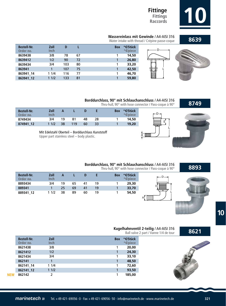

**8639**

## **Fittinge Fittings**

### **Wassereinlass mit Gewinde** / A4-AISI 316

Water intake with thread / Crépine passe-coque



E

D

**A** IIII

| <b>Bestell-Nr.</b><br>Order no. | Zoll<br><b>Inch</b> | D   |    | <b>Box</b> | *€/Stück<br>*€/piece |                 |
|---------------------------------|---------------------|-----|----|------------|----------------------|-----------------|
| 8639438                         | 3/8                 | 78  | 67 |            | 14,50                |                 |
| 8639412                         | 1/2                 | 90  | 72 |            | 26,80                |                 |
| 8639434                         | 3/4                 | 103 | 80 |            | 33,20                |                 |
| 863941                          |                     | 107 | 75 |            | 42,50                |                 |
| 863941 14                       | 11/4                | 116 | 77 |            | 46,70                | in 1991<br>Nati |
| 863941 12                       | 11/2                | 133 | 81 |            | 59,80                |                 |



**Borddurchlass, 90° mit Schlauchanschluss / A4-AISI 316**<br>Thru-hull, 90° with hose connector / Pass-coque à 90° **8749** 

| <b>Bestell-Nr.</b><br>Order no. | Zoll<br>Inch | A  |     |    | F. | *€/Stück<br><b>Box</b><br>*€/piece |
|---------------------------------|--------------|----|-----|----|----|------------------------------------|
| 8749434                         | 3/4          | 19 | 81  | 48 | 28 | 14,50                              |
| 874941 12                       | 11/2         | 38 | 119 | 60 | 33 | 19,20                              |

Mit Edelstahl Oberteil – Borddurchlass Kunststoff

Upper part stainless steel – body plastic.



**8893**





**Borddurchlass, 90° mit Schlauchanschluss** / A4-AISI 316 Thru-hull, 90° with hose connector / Pass-coque à 90°

| <b>Bestell-Nr.</b><br>Order no. | Zoll<br>Inch | А  |    | D  |    | *€/Stück<br><b>Box</b><br>*€/piece |
|---------------------------------|--------------|----|----|----|----|------------------------------------|
| 8893434                         | 3/4          | 19 | 65 | 41 | 19 | 29,30                              |
| 889341                          |              | 25 | 69 | 41 | 19 | 33,70                              |
| 889341 12                       | 11/2         | 38 | 89 | 60 | 19 | 54,50                              |
|                                 |              |    |    |    |    |                                    |

| Kugelhahnventil 2-teilig / A4-AISI 316<br>Ball valve 2 part / Vanne 1/4 de tour | 8621 |
|---------------------------------------------------------------------------------|------|
|                                                                                 |      |

|            | <b>Bestell-Nr.</b><br>Order no. | Zoll<br><b>Inch</b> | <b>Box</b> | *€/Stück<br>*€/piece |
|------------|---------------------------------|---------------------|------------|----------------------|
|            | 8621438                         | 3/8                 |            | 20,00                |
|            | 8621412                         | 1/2                 |            | 24,30                |
|            | 8621434                         | 3/4                 |            | 33,10                |
|            | 862141                          |                     |            | 48,50                |
|            | 862141 14                       | 11/4                |            | 72,60                |
|            | 862141 12                       | 11/2                |            | 93,50                |
| <b>NEW</b> | 862142                          | 2                   |            | 185,00               |

**10**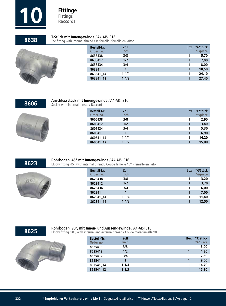

**8638** T-Stück mit Innengewinde / A4-AISI 316<br>**8638** Tee fitting with internal thread / Té femelle -femelle en laiton

| <b>Bestell-Nr.</b> | Zoll | <b>Box</b> | *€/Stück |
|--------------------|------|------------|----------|
| Order no.          | Inch |            | *€/piece |
| 8638438            | 3/8  |            | 5,70     |
| 8638412            | 1/2  |            | 7,00     |
| 8638434            | 3/4  |            | 8,00     |
| 863841             |      |            | 10,50    |
| 863841 14          | 11/4 |            | 24,10    |
| 863841_12          | 11/2 |            | 27,40    |
|                    |      |            |          |

**8606**



### **Anschlussstück mit Innengewinde** / A4-AISI 316

Socket with internal thread / Raccord

| <b>Bestell-Nr.</b><br>Order no. | Zoll<br><b>Inch</b> | <b>Box</b> | *€/Stück<br>*€/piece |
|---------------------------------|---------------------|------------|----------------------|
| 8606438                         | 3/8                 |            | 2,90                 |
| 8606412                         | 1/2                 |            | 3,40                 |
| 8606434                         | 3/4                 |            | 5,30                 |
| 860641                          |                     |            | 6,90                 |
| 860641 14                       | 11/4                |            | 14,20                |
| 860641 12                       | 11/2                |            | 15,00                |

**8623**



### **Rohrbogen, 45° mit Innengewinde** / A4-AISI 316

Elbow fitting, 45° with internal thread / Coude femelle 45° - femelle en laiton

| <b>Bestell-Nr.</b><br>Order no. | Zoll<br><b>Inch</b> | <b>Box</b> | *€/Stück<br>*€/piece |
|---------------------------------|---------------------|------------|----------------------|
| 8623438                         | 3/8                 |            | 3,20                 |
| 8623412                         | 1/2                 |            | 3,70                 |
| 8623434                         | 3/4                 |            | 6,00                 |
| 862341                          |                     |            | 7,00                 |
| 862341 14                       | 11/4                |            | 11,40                |
| 862341 12                       | 11/2                |            | 12,50                |
|                                 |                     |            |                      |

**8625**

#### **Rohrbogen, 90°, mit Innen- und Aussengewinde** / A4-AISI 316

Elbow fitting, 90°, with internal and external thread / Coude mâle-femelle 90°

| <b>Bestell-Nr.</b><br>Order no. | Zoll<br><b>Inch</b> | <b>Box</b> | *€/Stück<br>*€/piece |
|---------------------------------|---------------------|------------|----------------------|
| 8625438                         | 3/8                 |            | 3,00                 |
| 8625412                         | 1/2                 |            | 4,30                 |
| 8625434                         | 3/4                 |            | 7,60                 |
| 862541                          |                     |            | 9,00                 |
| 862541 14                       | 11/4                |            | 14,70                |
| 862541 12                       | 11/2                |            | 17,80                |
|                                 |                     |            |                      |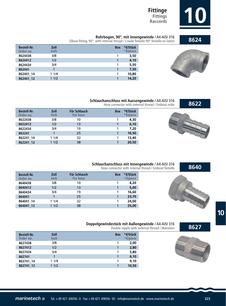

**Rohrbogen, 90°, mit Innengewinde** / A4-AISI 316<br>**8624** Elbow fitting, 90°, with internal thread / Coude femelle 90° femelle en laiton

| <b>Bestell-Nr.</b><br>Order no. | Zoll<br><b>Inch</b> | <b>Box</b> | *€/Stück<br>*€/piece |
|---------------------------------|---------------------|------------|----------------------|
| 8624438                         | 3/8                 |            | 3,50                 |
| 8624412                         | 1/2                 |            | 4,10                 |
| 8624434                         | 3/4                 |            | 5,50                 |
| 862441                          |                     |            | 7,50                 |
| 862441 14                       | 11/4                |            | 10,80                |
| 862441 12                       | 11/2                |            | 14,20                |



#### **Schlauchanschluss mit Aussengewinde** / A4-AISI 316

Hose connector with external thread / Embout mâle

| <b>Bestell-Nr.</b><br>Order no. | Zoll<br>Inch | Für Schlauch<br>For hose | <b>Box</b> | *€/Stück<br>*€/piece |
|---------------------------------|--------------|--------------------------|------------|----------------------|
| 8622438                         | 3/8          | 10                       |            | 4,30                 |
| 8622412                         | 1/2          | 13                       |            | 6,10                 |
| 8622434                         | 3/4          | 19                       |            | 7,20                 |
| 862241                          |              | 25                       |            | 10,50                |
| 862241 14                       | 11/4         | 32                       |            | 13,40                |
| 862241 12                       | 11/2         | 38                       |            | 20,50                |



#### **Schlauchanschluss mit Innengewinde** / A4-AISI 316 Hose connector with internal thread / Embout femelle

| <b>Bestell-Nr.</b><br>Order no. | Zoll<br><b>Inch</b> | Für Schlauch<br><b>For hose</b> | <b>Box</b> | *€/Stück<br>*€/piece |
|---------------------------------|---------------------|---------------------------------|------------|----------------------|
| 8640438                         | 3/8                 | 10                              |            | 4,20                 |
| 8640412                         | 1/2                 | 13                              |            | 5,00                 |
| 8640434                         | 3/4                 | 19                              |            | 16,60                |
| 864041                          |                     | 25                              |            | 23,70                |
| 864041 14                       | 11/4                | 32                              |            | 24,00                |
| 864041 12                       | 11/2                | 38                              |            | 25,00                |



#### **Doppelgewindestück mit Außengewinde** / A4-AISI 316

Double nipple with external thread / Mamelon

| <b>Bestell-Nr.</b> | Zoll        | <b>Box</b> | *€/Stück |
|--------------------|-------------|------------|----------|
| Order no.          | <b>Inch</b> |            | *€/piece |
| 8627438            | 3/8         |            | 2,00     |
| 8627412            | 1/2         |            | 2,80     |
| 8627434            | 3/4         |            | 5,80     |
| 862741             |             |            | 6,10     |
| 862741 14          | 11/4        |            | 9.10     |
| 862741 12          | 11/2        |            | 10,50    |
|                    |             |            |          |

Г



**8627**

**10**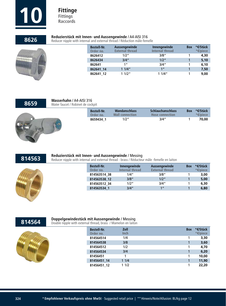

## **8626** Reduzierstück mit Innen- und Aussengewinde / A4-AISI 316<br>**8626** Reducer nipple with internal and external thread / Réduction mâle-femelle



| <b>Bestell-Nr.</b><br>Order no. | Aussengewinde<br><b>External thread</b> | Innengewinde<br>Internal thread | <b>Box</b> | *€/Stück<br>$*€/piece$ |
|---------------------------------|-----------------------------------------|---------------------------------|------------|------------------------|
| 8626412                         | 1/2"                                    | 3/8''                           |            | 4,30                   |
| 8626434                         | 3/4''                                   | 1/2''                           |            | 5,10                   |
| 862641                          | 1 <sup>''</sup>                         | 3/4''                           |            | 6,10                   |
| 862641 14                       | 11/4"                                   | 1 <sup>II</sup>                 |            | 7,50                   |
| 862641 12                       | 11/2"                                   | 11/4"                           |            | 9,00                   |

### **8659**

#### **Wasserhahn** / A4-AISI 316 Water faucet / Robinet de cockpit

| <b>Bestell-Nr.</b><br>Order no. | <b>Wandanschluss</b><br><b>Wall connection</b> | <b>Schlauchanschluss</b><br><b>Hose connection</b> | <b>Box</b> | *€/Stück<br>$*$ $\epsilon$ /piece |
|---------------------------------|------------------------------------------------|----------------------------------------------------|------------|-----------------------------------|
| 8659434 1                       | 1/2"                                           | 3/4''                                              |            | 70.00                             |



#### **Reduzierstück mit Innen- und Aussengewinde** / Messing

Reducer nipple with internal and external thread - brass / Réducteur mâle -femelle en laiton



| <b>Bestell-Nr.</b> | Innengewinde    | Aussengewinde          | <b>Box</b> | *€/Stück |
|--------------------|-----------------|------------------------|------------|----------|
| Order no.          | Internal thread | <b>External thread</b> |            | *€/piece |
| 814563514 38       | 1/4''           | 3/8"                   |            | 3,00     |
| 814563538 12       | 3/8''           | 1/2''                  |            | 5,00     |
| 814563512 34       | 1/2''           | 3/4"                   |            | 6,30     |
| 814563534 1        | 3/4''           | 1 <sup>II</sup>        |            | 6,80     |

## **814564 Doppelgewindestück mit Aussengewinde / Messing <br>
Double nipple with external thread, brass / Mamelon en laiton**



| <b>Bestell-Nr.</b><br>Order no. | Zoll<br><b>Inch</b> | <b>Box</b> | *€/Stück<br>*€/piece |
|---------------------------------|---------------------|------------|----------------------|
| 814564514                       | 1/4                 |            | 3,30                 |
| 814564538                       | 3/8                 |            | 3,60                 |
| 814564512                       | 1/2                 |            | 4.70                 |
| 814564534                       | 3/4                 |            | 6.20                 |
| 81456451                        |                     | 1          | 10,00                |
| 81456451 14                     | 11/4                |            | 11,90                |
| 81456451 12                     | 11/2                |            | 22,20                |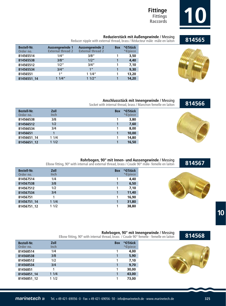

**814565**

## **Fittinge Fittings**

### **Reduzierstück mit Außengewinde** / Messing

Reducer nipple with external thread, brass / Réducteur mâle -mâle en laiton

| <b>Bestell-Nr.</b><br>Order no. | Aussengewinde 1<br><b>External thread 2</b> | Aussengewinde 2<br><b>External thread 2</b> | <b>Box</b> | *€/Stück<br>*€/piece |
|---------------------------------|---------------------------------------------|---------------------------------------------|------------|----------------------|
| 814565514                       | 1/4"                                        | 3/8"                                        |            | 3,50                 |
| 814565538                       | 3/8''                                       | 1/2''                                       |            | 4,40                 |
| 814565512                       | 1/2''                                       | 3/4''                                       |            | 7,10                 |
| 814565534                       | 3/4''                                       | 1 <sup>''</sup>                             |            | 9,30                 |
| 81456551                        | 1 <sup>''</sup>                             | 11/4"                                       |            | 13,20                |
| 81456551 14                     | 11/4"                                       | 11/2"                                       |            | 14,20                |



**Anschlussstück mit Innengewinde** / Messing

Socket with internal thread, brass / Manchon femelle en laiton

| <b>Bestell-Nr.</b><br>Order no. | Zoll<br>Inch | <b>Box</b> | *€/Stück<br>*€/piece |
|---------------------------------|--------------|------------|----------------------|
| 814566538                       | 3/8          |            | 3,80                 |
| 814566512                       | 1/2          |            | 7,60                 |
| 814566534                       | 3/4          |            | 8,00                 |
| 81456651                        |              |            | 10,00                |
| 81456651 14                     | 11/4         |            | 14,80                |
| 81456651 12                     | 11/2         |            | 16,50                |



#### **Rohrbogen, 90° mit Innen- und Aussengewinde** / Messing

Elbow fitting, 90º with internal and external thread, brass / Coude 90° mâle- femelle en laiton

| <b>Bestell-Nr.</b><br>Order no. | Zoll<br>Inch | <b>Box</b> | *€/Stück<br>*€/piece |
|---------------------------------|--------------|------------|----------------------|
| 814567514                       | 1/4          |            | 4,40                 |
| 814567538                       | 3/8          |            | 6,50                 |
| 814567512                       | 1/2          |            | 7.10                 |
| 814567534                       | 3/4          |            | 11,40                |
| 81456751                        |              |            | 16,90                |
| 81456751 14                     | 11/4         |            | 31,80                |
| 81456751 12                     | 11/2         |            | 38,80                |



**Rohrbogen, 90° mit Innengewinde / Messing<br>Elbow fitting, 90° with internal thread, brass / Coude 90° femelle - femelle en laiton <b>814568** 

| <b>Bestell-Nr.</b><br>Order no. | Zoll<br><b>Inch</b> | <b>Box</b> | *€/Stück<br>*€/piece |
|---------------------------------|---------------------|------------|----------------------|
| 814568514                       | 1/4                 |            | 4,00                 |
| 814568538                       | 3/8                 |            | 5,90                 |
| 814568512                       | 1/2                 |            | 7,10                 |
| 814568534                       | 3/4                 |            | 9,70                 |
| 81456851                        |                     | 1          | 30,00                |
| 81456851 14                     | 11/4                |            | 43,00                |
| 81456851 12                     | 11/2                | 1          | 73,00                |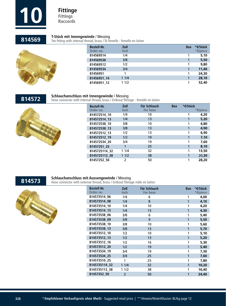

**814569**

#### **T-Stück mit Innengewinde** / Messing

Tee fitting with internal thread, brass / Té femelle - femelle en laiton



| <b>Bestell-Nr.</b> | Zoll        | <b>Box</b> | *€/Stück |
|--------------------|-------------|------------|----------|
| Order no.          | <b>Inch</b> |            | *€/piece |
| 814569514          | 1/4         |            | 5,10     |
| 814569538          | 3/8         |            | 5,50     |
| 814569512          | 1/2         |            | 9,80     |
| 814569534          | 3/4         |            | 11,40    |
| 81456951           |             |            | 24,30    |
| 81456951 14        | 11/4        |            | 28,10    |
| 81456951 12        | 11/2        |            | 52,40    |
|                    |             |            |          |



#### **Schlauchanschluss mit Innengewinde** / Messing

Hose connector with internal thread, brass / Embout filetage - femelle en laiton



| <b>Bestell-Nr.</b><br>Order no. | Zoll<br><b>Inch</b> | Für Schlauch<br><b>For hose</b> | <b>Box</b> | *€/Stück | *€/piece |
|---------------------------------|---------------------|---------------------------------|------------|----------|----------|
| 814572514 10                    | 1/4                 | 10                              |            |          | 4,20     |
| 814572514 13                    | 1/4                 | 13                              |            |          | 5,20     |
| 814572538 10                    | 3/8                 | 10                              |            |          | 4,80     |
| 814572538 13                    | 3/8                 | 13                              |            |          | 4,90     |
| 814572512 13                    | 1/2                 | 13                              |            | 1        | 6,90     |
| 814572512 19                    | 1/2                 | 19                              |            |          | 7.10     |
| 814572534 20                    | 3/4                 | 19                              |            |          | 7,60     |
| 81457251 25                     |                     | 25                              |            |          | 8,10     |
| 8145725114 32                   | 11/4                | 32                              |            |          | 13,50    |
| 8145725112 38                   | 11/2                | 38                              |            |          | 20,30    |
| 81457252 50                     | $\overline{2}$      | 50                              |            | 1        | 28,20    |



### **Schlauchanschluss mit Aussengewinde** / Messing

Hose connector with external thread, brass / Embout filetage mâle en laiton



| <b>Bestell-Nr.</b><br>Order no. | Zoll<br>Inch   | <b>Für Schlauch</b><br><b>For hose</b> | <b>Box</b> | *€/Stück<br>*€/piece |
|---------------------------------|----------------|----------------------------------------|------------|----------------------|
| 814573514 06                    | 1/4            | 6                                      | 1          | 4,00                 |
| 814573514 08                    | 1/4            | 8                                      | 1          | 4,10                 |
| 814573514 10                    | 1/4            | 10                                     | 1          | 4,20                 |
| 814573514 13                    | 1/4            | 13                                     | 1          | 4,30                 |
| 814573538 06                    | 3/8            | 6                                      | 1          | 5,40                 |
| 814573538 09                    | 3/8            | 9                                      | 1          | 5,50                 |
| 814573538 10                    | 3/8            | 10                                     | 1          | 5,60                 |
| 814573538 13                    | 3/8            | 13                                     | 1          | 5,70                 |
| 814573512 10                    | 1/2            | 10                                     | 1          | 5,10                 |
| 814573512_13                    | 1/2            | 13                                     | 1          | 5,20                 |
| 814573512_16                    | 1/2            | 16                                     | 1          | 5,30                 |
| 814573512_20                    | 1/2            | 19                                     | 1          | 5,40                 |
| 814573534 19                    | 3/4            | 19                                     | 1          | 7,30                 |
| 814573534 25                    | 3/4            | 25                                     | 1          | 7,60                 |
| 814573510 25                    | 1              | 25                                     | 1          | 7,80                 |
| 8145735114_32                   | 11/4           | 32                                     | 1          | 10,20                |
| 8145735112 38                   | 11/2           | 38                                     | 1          | 16,40                |
| 81457352 50                     | $\overline{2}$ | 50                                     | 1          | 24,40                |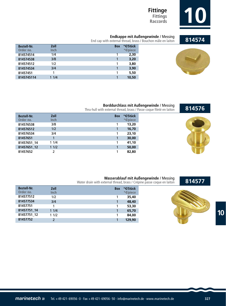

## **Fittinge Fittings**

**Endkappe mit Außengewinde / Messing<br>End cap with external thread, brass / Bouchon mâle en laiton <b>814574** 

| <b>Bestell-Nr.</b> | Zoll        | <b>Box</b> | *€/Stück |
|--------------------|-------------|------------|----------|
| Order no.          | <b>Inch</b> |            | *€/piece |
| 814574514          | 1/4         |            | 2,30     |
| 814574538          | 3/8         |            | 3,20     |
| 814574512          | 1/2         |            | 3,80     |
| 814574534          | 3/4         |            | 3,90     |
| 81457451           |             |            | 5,50     |
| 8145745114         | 11/4        |            | 10,50    |



**814576**

### **Borddurchlass mit Außengewinde** / Messing

Thru-hull with external thread, brass / Passe coque fileté en laiton

| <b>Bestell-Nr.</b><br>Order no. | Zoll<br><b>Inch</b> | <b>Box</b> | *€/Stück<br>*€/piece |
|---------------------------------|---------------------|------------|----------------------|
| 814576538                       | 3/8                 |            | 13,20                |
| 814576512                       | 1/2                 |            | 16,70                |
| 814576534                       | 3/4                 |            | 23,10                |
| 81457651                        | 1                   |            | 30,00                |
| 81457651 14                     | 11/4                |            | 41,10                |
| 81457651 12                     | 11/2                |            | 50,00                |
| 81457652                        |                     |            | 82,80                |



### **814577**

#### **Wasserablauf mit Außengewinde** / Messing

Water drain with external thread, brass / Crépine passe coque en laiton

| <b>Bestell-Nr.</b> | Zoll        | <b>Box</b> | *€/Stück |
|--------------------|-------------|------------|----------|
| Order no.          | <b>Inch</b> |            | *€/piece |
| 814577512          | 1/2         |            | 35,40    |
| 814577534          | 3/4         |            | 48,40    |
| 81457751           |             |            | 53,30    |
| 81457751 14        | 11/4        |            | 65,70    |
| 81457751 12        | 11/2        |            | 84,00    |
| 81457752           |             |            | 129,90   |



**10**